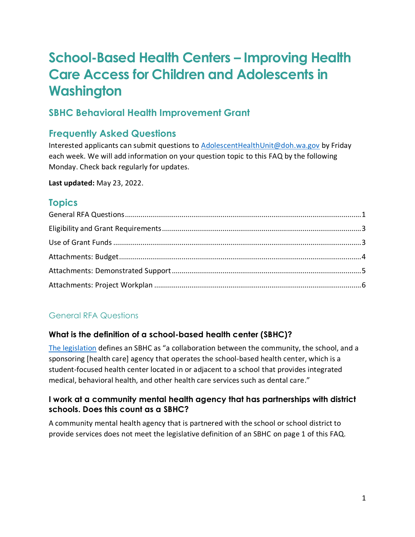# **School-Based Health Centers – Improving Health Care Access for Children and Adolescents in Washington**

# **SBHC Behavioral Health Improvement Grant**

# **Frequently Asked Questions**

Interested applicants can submit questions to [AdolescentHealthUnit@doh.wa.gov](mailto:AdolescentHealthUnit@doh.wa.gov) by Friday each week. We will add information on your question topic to this FAQ by the following Monday. Check back regularly for updates.

**Last updated:** May 23, 2022.

# **Topics**

# <span id="page-0-0"></span>General RFA Questions

# **What is the definition of a school-based health center (SBHC)?**

[The legislation](https://app.leg.wa.gov/RCW/default.aspx?cite=43.70.825&msclkid=294c8119a94211ecbb2b9d8d67106b47) defines an SBHC as "a collaboration between the community, the school, and a sponsoring [health care] agency that operates the school-based health center, which is a student-focused health center located in or adjacent to a school that provides integrated medical, behavioral health, and other health care services such as dental care."

#### **I work at a community mental health agency that has partnerships with district schools. Does this count as a SBHC?**

A community mental health agency that is partnered with the school or school district to provide services does not meet the legislative definition of an SBHC on page 1 of this FAQ.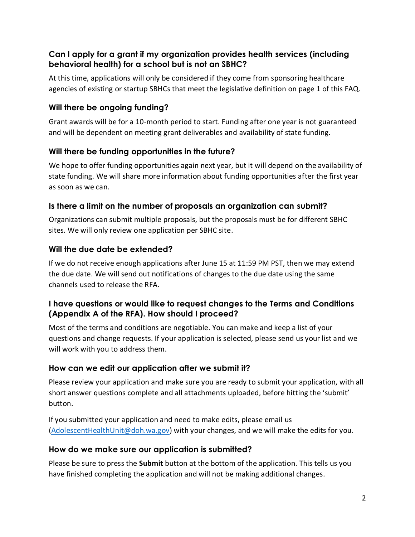# **Can I apply for a grant if my organization provides health services (including behavioral health) for a school but is not an SBHC?**

At this time, applications will only be considered if they come from sponsoring healthcare agencies of existing or startup SBHCs that meet the legislative definition on page 1 of this FAQ.

#### **Will there be ongoing funding?**

Grant awards will be for a 10-month period to start. Funding after one year is not guaranteed and will be dependent on meeting grant deliverables and availability of state funding.

#### **Will there be funding opportunities in the future?**

We hope to offer funding opportunities again next year, but it will depend on the availability of state funding. We will share more information about funding opportunities after the first year as soon as we can.

#### **Is there a limit on the number of proposals an organization can submit?**

Organizations can submit multiple proposals, but the proposals must be for different SBHC sites. We will only review one application per SBHC site.

#### **Will the due date be extended?**

If we do not receive enough applications after June 15 at 11:59 PM PST, then we may extend the due date. We will send out notifications of changes to the due date using the same channels used to release the RFA.

#### **I have questions or would like to request changes to the Terms and Conditions (Appendix A of the RFA). How should I proceed?**

Most of the terms and conditions are negotiable. You can make and keep a list of your questions and change requests. If your application is selected, please send us your list and we will work with you to address them.

#### **How can we edit our application after we submit it?**

Please review your application and make sure you are ready to submit your application, with all short answer questions complete and all attachments uploaded, before hitting the 'submit' button.

If you submitted your application and need to make edits, please email us [\(AdolescentHealthUnit@doh.wa.gov\)](mailto:AdolescentHealthUnit@doh.wa.gov) with your changes, and we will make the edits for you.

#### **How do we make sure our application is submitted?**

Please be sure to press the **Submit** button at the bottom of the application. This tells us you have finished completing the application and will not be making additional changes.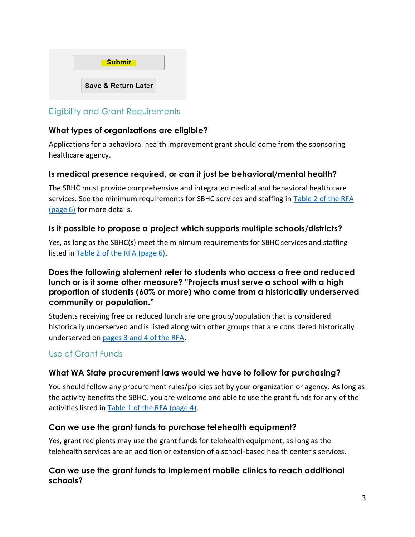

# <span id="page-2-0"></span>Eligibility and Grant Requirements

#### **What types of organizations are eligible?**

Applications for a behavioral health improvement grant should come from the sponsoring healthcare agency.

#### **Is medical presence required, or can it just be behavioral/mental health?**

The SBHC must provide comprehensive and integrated medical and behavioral health care services. See the minimum requirements for SBHC services and staffing in Table 2 [of the RFA](https://waportal.org/sites/default/files/documents/Adolescent%20Health/RequestForApplications_WADOHSBHC_BHGRANT_Final.pdf)  [\(page 6\)](https://waportal.org/sites/default/files/documents/Adolescent%20Health/RequestForApplications_WADOHSBHC_BHGRANT_Final.pdf) for more details.

#### **Is it possible to propose a project which supports multiple schools/districts?**

Yes, as long as the SBHC(s) meet the minimum requirements for SBHC services and staffing listed in [Table 2 of the RFA \(page 6\).](https://waportal.org/sites/default/files/documents/Adolescent%20Health/RequestForApplications_WADOHSBHC_BHGRANT_Final.pdf)

#### **Does the following statement refer to students who access a free and reduced lunch or is it some other measure? "Projects must serve a school with a high proportion of students (60% or more) who come from a historically underserved community or population."**

Students receiving free or reduced lunch are one group/population that is considered historically underserved and is listed along with other groups that are considered historically underserved on pages 3 and [4 of the RFA.](https://waportal.org/sites/default/files/documents/Adolescent%20Health/RequestForApplications_WADOHSBHC_BHGRANT_Final.pdf)

# <span id="page-2-1"></span>Use of Grant Funds

#### **What WA State procurement laws would we have to follow for purchasing?**

You should follow any procurement rules/policies set by your organization or agency. As long as the activity benefits the SBHC, you are welcome and able to use the grant funds for any of the activities listed in [Table 1 of the RFA \(page 4\).](https://waportal.org/sites/default/files/documents/Adolescent%20Health/RequestForApplications_WADOHSBHC_BHGRANT_Final.pdf)

#### **Can we use the grant funds to purchase telehealth equipment?**

Yes, grant recipients may use the grant funds for telehealth equipment, as long as the telehealth services are an addition or extension of a school-based health center's services.

#### **Can we use the grant funds to implement mobile clinics to reach additional schools?**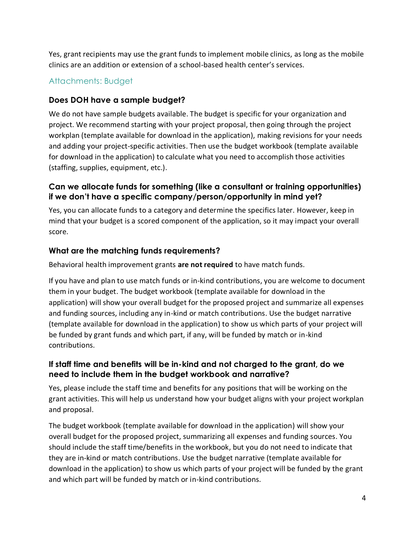Yes, grant recipients may use the grant funds to implement mobile clinics, as long as the mobile clinics are an addition or extension of a school-based health center's services.

# <span id="page-3-0"></span>Attachments: Budget

#### **Does DOH have a sample budget?**

We do not have sample budgets available. The budget is specific for your organization and project. We recommend starting with your project proposal, then going through the project workplan (template available for download in the application), making revisions for your needs and adding your project-specific activities. Then use the budget workbook (template available for download in the application) to calculate what you need to accomplish those activities (staffing, supplies, equipment, etc.).

#### **Can we allocate funds for something (like a consultant or training opportunities) if we don't have a specific company/person/opportunity in mind yet?**

Yes, you can allocate funds to a category and determine the specifics later. However, keep in mind that your budget is a scored component of the application, so it may impact your overall score.

#### **What are the matching funds requirements?**

Behavioral health improvement grants **are not required** to have match funds.

If you have and plan to use match funds or in-kind contributions, you are welcome to document them in your budget. The budget workbook (template available for download in the application) will show your overall budget for the proposed project and summarize all expenses and funding sources, including any in-kind or match contributions. Use the budget narrative (template available for download in the application) to show us which parts of your project will be funded by grant funds and which part, if any, will be funded by match or in-kind contributions.

#### **If staff time and benefits will be in-kind and not charged to the grant, do we need to include them in the budget workbook and narrative?**

Yes, please include the staff time and benefits for any positions that will be working on the grant activities. This will help us understand how your budget aligns with your project workplan and proposal.

The budget workbook (template available for download in the application) will show your overall budget for the proposed project, summarizing all expenses and funding sources. You should include the staff time/benefits in the workbook, but you do not need to indicate that they are in-kind or match contributions. Use the budget narrative (template available for download in the application) to show us which parts of your project will be funded by the grant and which part will be funded by match or in-kind contributions.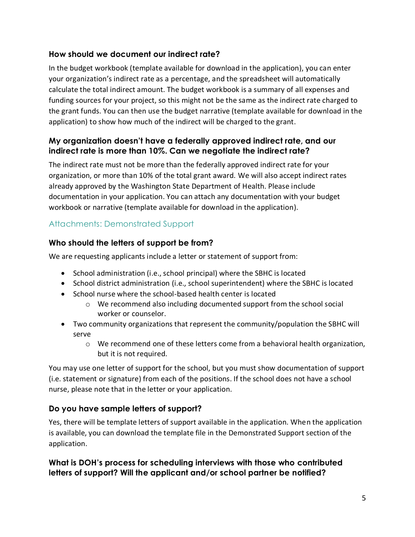# **How should we document our indirect rate?**

In the budget workbook (template available for download in the application), you can enter your organization's indirect rate as a percentage, and the spreadsheet will automatically calculate the total indirect amount. The budget workbook is a summary of all expenses and funding sources for your project, so this might not be the same as the indirect rate charged to the grant funds. You can then use the budget narrative (template available for download in the application) to show how much of the indirect will be charged to the grant.

# **My organization doesn't have a federally approved indirect rate, and our indirect rate is more than 10%. Can we negotiate the indirect rate?**

The indirect rate must not be more than the federally approved indirect rate for your organization, or more than 10% of the total grant award. We will also accept indirect rates already approved by the Washington State Department of Health. Please include documentation in your application. You can attach any documentation with your budget workbook or narrative (template available for download in the application).

# <span id="page-4-0"></span>Attachments: Demonstrated Support

#### **Who should the letters of support be from?**

We are requesting applicants include a letter or statement of support from:

- School administration (i.e., school principal) where the SBHC is located
- School district administration (i.e., school superintendent) where the SBHC is located
- School nurse where the school-based health center is located
	- o We recommend also including documented support from the school social worker or counselor.
- Two community organizations that represent the community/population the SBHC will serve
	- $\circ$  We recommend one of these letters come from a behavioral health organization, but it is not required.

You may use one letter of support for the school, but you must show documentation of support (i.e. statement or signature) from each of the positions. If the school does not have a school nurse, please note that in the letter or your application.

# **Do you have sample letters of support?**

Yes, there will be template letters of support available in the application. When the application is available, you can download the template file in the Demonstrated Support section of the application.

#### **What is DOH's process for scheduling interviews with those who contributed letters of support? Will the applicant and/or school partner be notified?**